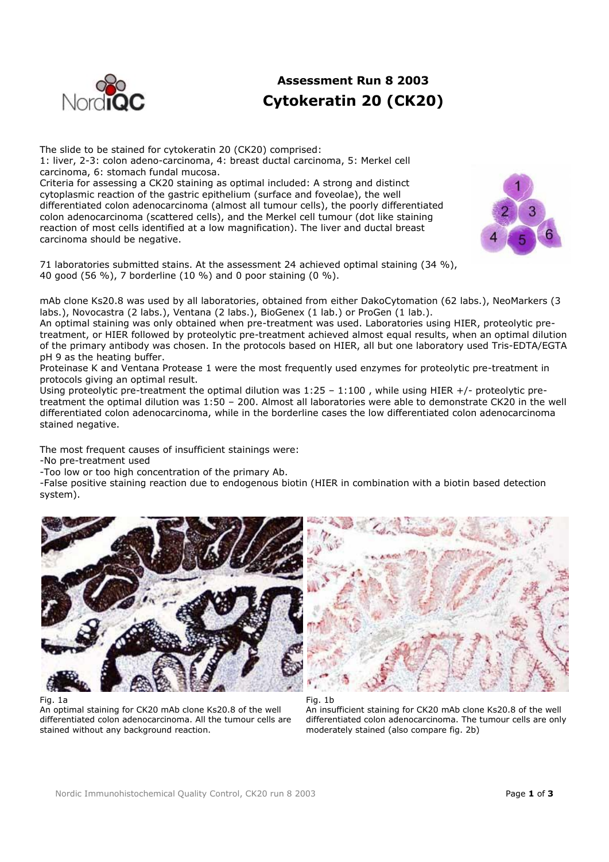

carcinoma should be negative.

## **Assessment Run 8 2003 Cytokeratin 20 (CK20)**

The slide to be stained for cytokeratin 20 (CK20) comprised: 1: liver, 2-3: colon adeno-carcinoma, 4: breast ductal carcinoma, 5: Merkel cell carcinoma, 6: stomach fundal mucosa. Criteria for assessing a CK20 staining as optimal included: A strong and distinct cytoplasmic reaction of the gastric epithelium (surface and foveolae), the well differentiated colon adenocarcinoma (almost all tumour cells), the poorly differentiated colon adenocarcinoma (scattered cells), and the Merkel cell tumour (dot like staining

reaction of most cells identified at a low magnification). The liver and ductal breast

71 laboratories submitted stains. At the assessment 24 achieved optimal staining (34 %), 40 good (56 %), 7 borderline (10 %) and 0 poor staining (0 %).



mAb clone Ks20.8 was used by all laboratories, obtained from either DakoCytomation (62 labs.), NeoMarkers (3 labs.), Novocastra (2 labs.), Ventana (2 labs.), BioGenex (1 lab.) or ProGen (1 lab.).

An optimal staining was only obtained when pre-treatment was used. Laboratories using HIER, proteolytic pretreatment, or HIER followed by proteolytic pre-treatment achieved almost equal results, when an optimal dilution of the primary antibody was chosen. In the protocols based on HIER, all but one laboratory used Tris-EDTA/EGTA pH 9 as the heating buffer.

Proteinase K and Ventana Protease 1 were the most frequently used enzymes for proteolytic pre-treatment in protocols giving an optimal result.

Using proteolytic pre-treatment the optimal dilution was  $1:25 - 1:100$ , while using HIER +/- proteolytic pretreatment the optimal dilution was 1:50 – 200. Almost all laboratories were able to demonstrate CK20 in the well differentiated colon adenocarcinoma, while in the borderline cases the low differentiated colon adenocarcinoma stained negative.

The most frequent causes of insufficient stainings were:

-No pre-treatment used

-Too low or too high concentration of the primary Ab.

-False positive staining reaction due to endogenous biotin (HIER in combination with a biotin based detection system).



Fig. 1a

An optimal staining for CK20 mAb clone Ks20.8 of the well differentiated colon adenocarcinoma. All the tumour cells are stained without any background reaction.



Fig. 1b An insufficient staining for CK20 mAb clone Ks20.8 of the well differentiated colon adenocarcinoma. The tumour cells are only moderately stained (also compare fig. 2b)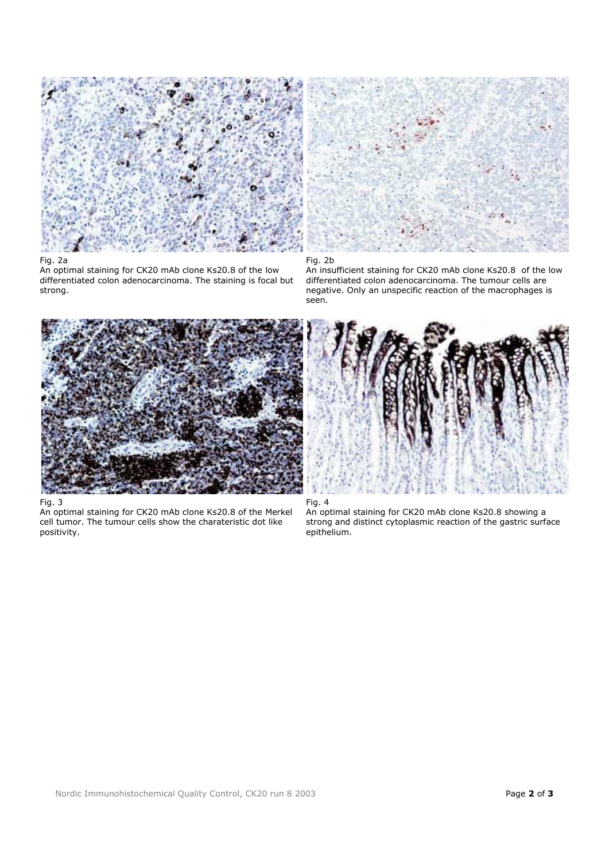

## Fig. 2a

An optimal staining for CK20 mAb clone Ks20.8 of the low differentiated colon adenocarcinoma. The staining is focal but strong.



Fig. 3

An optimal staining for CK20 mAb clone Ks20.8 of the Merkel cell tumor. The tumour cells show the charateristic dot like positivity.





An insufficient staining for CK20 mAb clone Ks20.8 of the low differentiated colon adenocarcinoma. The tumour cells are negative. Only an unspecific reaction of the macrophages is seen.





An optimal staining for CK20 mAb clone Ks20.8 showing a strong and distinct cytoplasmic reaction of the gastric surface epithelium.